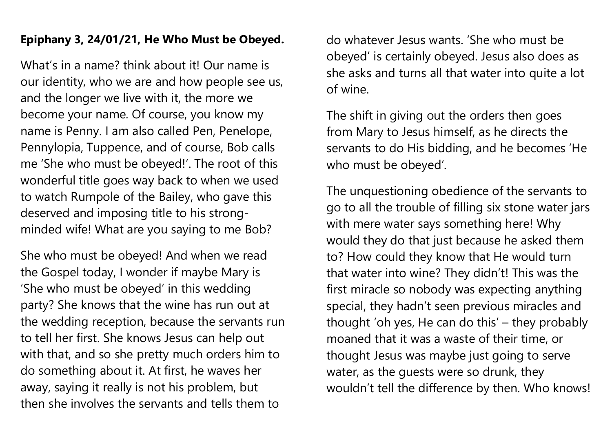## **Epiphany 3, 24/01/21, He Who Must be Obeyed.**

What's in a name? think about it! Our name is our identity, who we are and how people see us, and the longer we live with it, the more we become your name. Of course, you know my name is Penny. I am also called Pen, Penelope, Pennylopia, Tuppence, and of course, Bob calls me 'She who must be obeyed!'. The root of this wonderful title goes way back to when we used to watch Rumpole of the Bailey, who gave this deserved and imposing title to his strongminded wife! What are you saying to me Bob?

She who must be obeyed! And when we read the Gospel today, I wonder if maybe Mary is 'She who must be obeyed' in this wedding party? She knows that the wine has run out at the wedding reception, because the servants run to tell her first. She knows Jesus can help out with that, and so she pretty much orders him to do something about it. At first, he waves her away, saying it really is not his problem, but then she involves the servants and tells them to

do whatever Jesus wants. 'She who must be obeyed' is certainly obeyed. Jesus also does as she asks and turns all that water into quite a lot of wine.

The shift in giving out the orders then goes from Mary to Jesus himself, as he directs the servants to do His bidding, and he becomes 'He who must be obeyed'.

The unquestioning obedience of the servants to go to all the trouble of filling six stone water jars with mere water says something here! Why would they do that just because he asked them to? How could they know that He would turn that water into wine? They didn't! This was the first miracle so nobody was expecting anything special, they hadn't seen previous miracles and thought 'oh yes, He can do this' – they probably moaned that it was a waste of their time, or thought Jesus was maybe just going to serve water, as the guests were so drunk, they wouldn't tell the difference by then. Who knows!